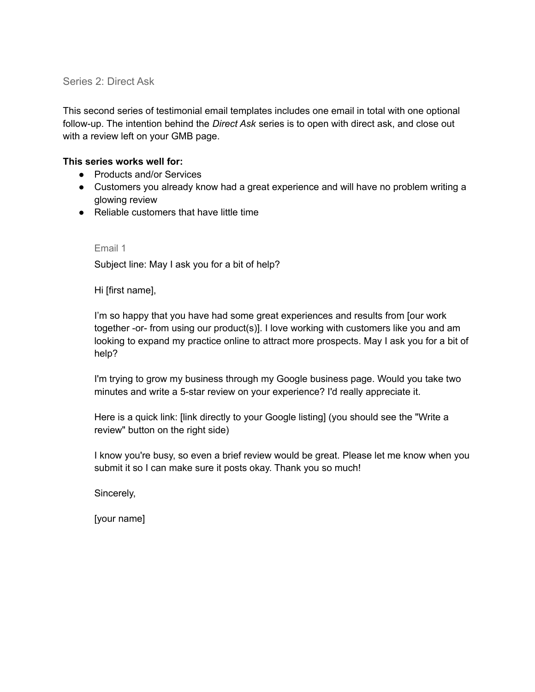## Series 2: Direct Ask

This second series of testimonial email templates includes one email in total with one optional follow-up. The intention behind the *Direct Ask* series is to open with direct ask, and close out with a review left on your GMB page.

## **This series works well for:**

- Products and/or Services
- Customers you already know had a great experience and will have no problem writing a glowing review
- Reliable customers that have little time

## Email 1

Subject line: May I ask you for a bit of help?

Hi [first name],

I'm so happy that you have had some great experiences and results from [our work together -or- from using our product(s)]. I love working with customers like you and am looking to expand my practice online to attract more prospects. May I ask you for a bit of help?

I'm trying to grow my business through my Google business page. Would you take two minutes and write a 5-star review on your experience? I'd really appreciate it.

Here is a quick link: [link directly to your Google listing] (you should see the "Write a review" button on the right side)

I know you're busy, so even a brief review would be great. Please let me know when you submit it so I can make sure it posts okay. Thank you so much!

Sincerely,

[your name]